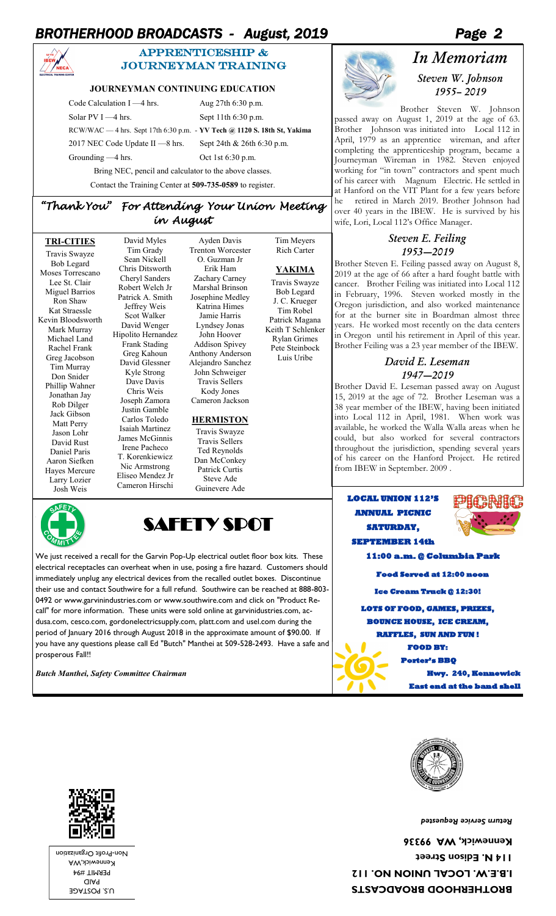# *BROTHERHOOD BROADCASTS - August, 2019 Page 2*



## APPRENTICESHIP & journeyman training

#### **JOURNEYMAN CONTINUING EDUCATION**

Code Calculation I —4 hrs. Aug 27th 6:30 p.m. Solar PV I —4 hrs. Sept 11th 6:30 p.m. RCW/WAC — 4 hrs. Sept 17th 6:30 p.m. - **YV Tech @ 1120 S. 18th St, Yakima** 2017 NEC Code Update II -8 hrs. Sept 24th & 26th 6:30 p.m. Grounding —4 hrs. Oct 1st 6:30 p.m.

Tim Meyers Rich Carter

**YAKIMA** Travis Swayze Bob Legard J. C. Krueger Tim Robel Patrick Magana Keith T Schlenker Rylan Grimes Pete Steinbock Luis Uribe

Bring NEC, pencil and calculator to the above classes.

Contact the Training Center at **509-735-0589** to register.

## *"Thank You" For Attending Your Union Meeting in August*

**TRI-CITIES** Travis Swayze

Bob Legard Moses Torrescano Lee St. Clair Miguel Barrios Ron Shaw Kat Straessle Kevin Bloodsworth Mark Murray Michael Land Rachel Frank Greg Jacobson Tim Murray Don Snider Phillip Wahner Jonathan Jay Rob Dilger Jack Gibson Matt Perry Jason Lohr David Rust Daniel Paris Aaron Siefken Hayes Mercure Larry Lozier Josh Weis

David Myles Tim Grady Sean Nickell Chris Ditsworth Cheryl Sanders Robert Welch Jr Patrick A. Smith Jeffrey Weis Scot Walker David Wenger Hipolito Hernandez Frank Stading Greg Kahoun David Glessner Kyle Strong Dave Davis Chris Weis Joseph Zamora Justin Gamble Carlos Toledo Isaiah Martinez James McGinnis Irene Pacheco T. Korenkiewicz Nic Armstrong Eliseo Mendez Jr Cameron Hirschi

Ayden Davis Trenton Worcester O. Guzman Jr Erik Ham Zachary Carney Marshal Brinson Josephine Medley Katrina Himes Jamie Harris Lyndsey Jonas John Hoover Addison Spivey Anthony Anderson Alejandro Sanchez John Schweiger Travis Sellers Kody Jones Cameron Jackson

#### **HERMISTON**

Travis Swayze Travis Sellers Ted Reynolds Dan McConkey Patrick Curtis Steve Ade Guinevere Ade



We just received a recall for the Garvin Pop-Up electrical outlet floor box kits. These electrical receptacles can overheat when in use, posing a fire hazard. Customers should immediately unplug any electrical devices from the recalled outlet boxes. Discontinue their use and contact Southwire for a full refund. Southwire can be reached at 888-803- 0492 or www.garvinindustries.com or www.southwire.com and click on "Product Recall" for more information. These units were sold online at garvinidustries.com, acdusa.com, cesco.com, gordonelectricsupply.com, platt.com and usel.com during the period of January 2016 through August 2018 in the approximate amount of \$90.00. If you have any questions please call Ed "Butch" Manthei at 509-528-2493. Have a safe and prosperous Fall!!

*Butch Manthei, Safety Committee Chairman* 

# *In Memoriam Steven W. Johnson*

*1955– 2019* Brother Steven W. Johnson passed away on August 1, 2019 at the age of 63. Brother Johnson was initiated into Local 112 in April, 1979 as an apprentice wireman, and after completing the apprenticeship program, became a Journeyman Wireman in 1982. Steven enjoyed working for "in town" contractors and spent much of his career with Magnum Electric. He settled in

at Hanford on the VIT Plant for a few years before he retired in March 2019. Brother Johnson had over 40 years in the IBEW. He is survived by his wife, Lori, Local 112's Office Manager.

#### *Steven E. Feiling 1953—2019*

Brother Steven E. Feiling passed away on August 8, 2019 at the age of 66 after a hard fought battle with cancer. Brother Feiling was initiated into Local 112 in February, 1996. Steven worked mostly in the Oregon jurisdiction, and also worked maintenance for at the burner site in Boardman almost three years. He worked most recently on the data centers in Oregon until his retirement in April of this year. Brother Feiling was a 23 year member of the IBEW.

# *David E. Leseman 1947—2019*

Brother David E. Leseman passed away on August 15, 2019 at the age of 72. Brother Leseman was a 38 year member of the IBEW, having been initiated into Local 112 in April, 1981. When work was available, he worked the Walla Walla areas when he could, but also worked for several contractors throughout the jurisdiction, spending several years of his career on the Hanford Project. He retired from IBEW in September. 2009 .

### **LOCAL UNION 112'S ANNUAL PICNIC SATURDAY, SEPTEMBER 14th**



11:00 a.m. @ Columbia Pa

 **Food Served at 12:00 noon** 

**Ice Cream Truck @ 12:30!** 

**LOTS OF FOOD, GAMES, PRIZES, BOUNCE HOUSE, ICE CREAM,** 

**RAFFLES, SUN AND FUN !** 

**FOOD BY:** 

 **Porter's BBQ Hwy. 240, Ke East end at the band shell** 



*Return Service Requested* 

**BROTHERHOOD BROADCASTS I.B.E.W. LOCAL UNION NO. 112 114 N. Edison Street Kennewick, WA 99336** 



U.S. POSTAGE PAID PERMIT #94 Kennewick,WA Non-Profit Organization